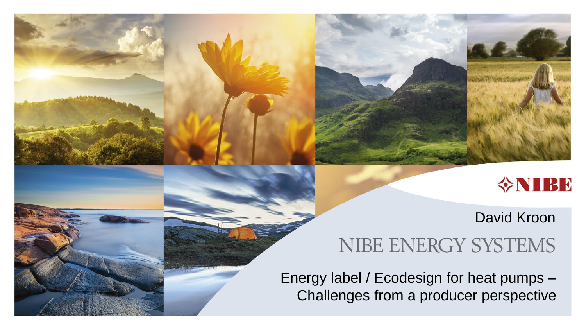

### David Kroon

### NIBE ENERGY SYSTEMS

Energy label / Ecodesign for heat pumps – Challenges from a producer perspective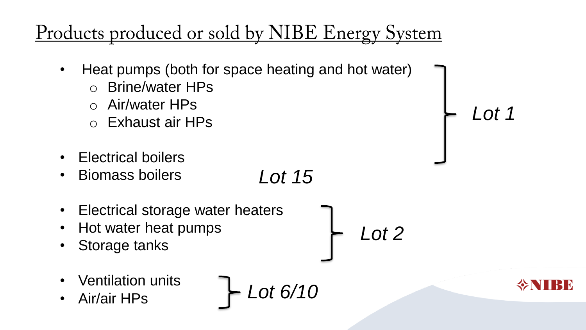# <u>Products produced or sold by NIBE Energy System</u>

- Heat pumps (both for space heating and hot water)
	- o Brine/water HPs
	- o Air/water HPs
	- o Exhaust air HPs
- Electrical boilers
- Biomass boilers *Lot 15*
- Electrical storage water heaters
- Hot water heat pumps
- Storage tanks
- Ventilation units
- 

• Air/air HPs *Lot 6/10*

*Lot 2*

$$
\diamondsuit\textbf{NIBE}
$$

*Lot 1*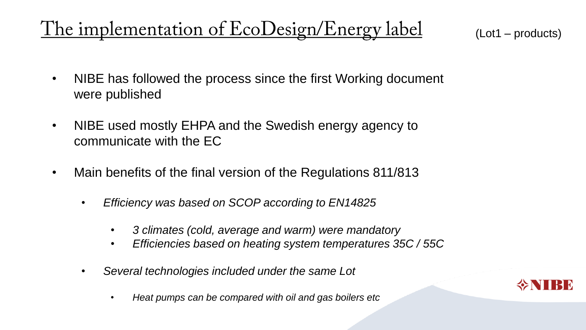(Lot1 – products)

- NIBE has followed the process since the first Working document were published
- NIBE used mostly EHPA and the Swedish energy agency to communicate with the EC
- Main benefits of the final version of the Regulations 811/813
	- *Efficiency was based on SCOP according to EN14825*
		- *3 climates (cold, average and warm) were mandatory*
		- *Efficiencies based on heating system temperatures 35C / 55C*
	- *Several technologies included under the same Lot*
		- *Heat pumps can be compared with oil and gas boilers etc*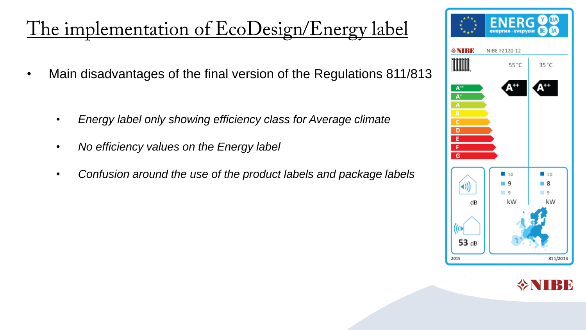- Main disadvantages of the final version of the Regulations 811/813
	- *Energy label only showing efficiency class for Average climate*
	- *No efficiency values on the Energy label*
	- *Confusion around the use of the product labels and package labels*



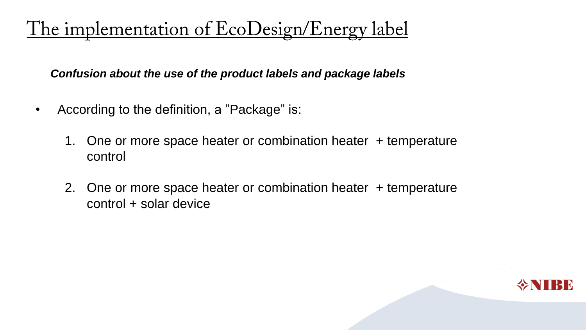*Confusion about the use of the product labels and package labels*

- According to the definition, a "Package" is:
	- 1. One or more space heater or combination heater + temperature control
	- 2. One or more space heater or combination heater + temperature control + solar device

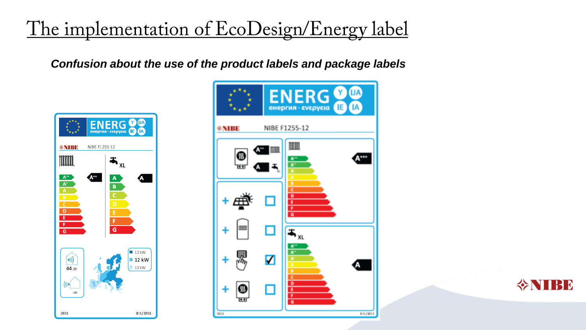*Confusion about the use of the product labels and package labels*





**INTER**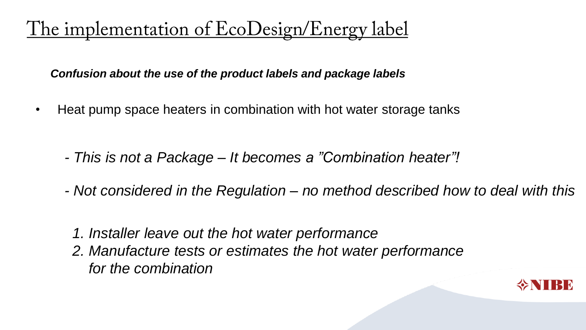*Confusion about the use of the product labels and package labels*

- Heat pump space heaters in combination with hot water storage tanks
	- *- This is not a Package – It becomes a "Combination heater"!*
	- *- Not considered in the Regulation – no method described how to deal with this*
		- *1. Installer leave out the hot water performance*
		- *2. Manufacture tests or estimates the hot water performance for the combination*

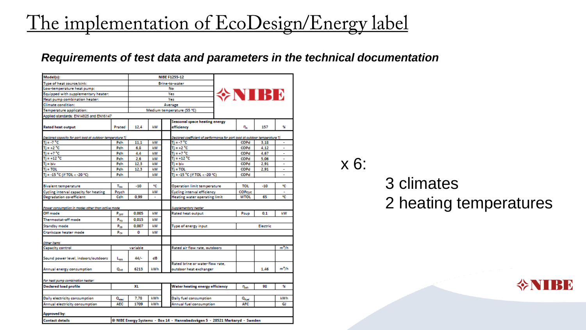#### *Requirements of test data and parameters in the technical documentation*

| Model(s):                                                 |                   |         |                            | <b>NIBE F1255-12</b>                                                        |                                    |                |          |                          |  |
|-----------------------------------------------------------|-------------------|---------|----------------------------|-----------------------------------------------------------------------------|------------------------------------|----------------|----------|--------------------------|--|
| Type of heat source/sink:                                 |                   |         |                            | <b>Brine-to-water</b>                                                       |                                    |                |          |                          |  |
| Low-temperature heat pump:                                |                   |         |                            | No                                                                          |                                    |                |          |                          |  |
| Equipped with supplementary heater:                       |                   |         |                            | Yes                                                                         |                                    | 令NIBE          |          |                          |  |
| Heat pump combination heater:                             |                   |         |                            | Yes                                                                         |                                    |                |          |                          |  |
| <b>Climate</b> condition:                                 |                   | Average |                            |                                                                             |                                    |                |          |                          |  |
| Temperature application:                                  |                   |         | Medium temperature (55 °C) |                                                                             |                                    |                |          |                          |  |
| Applied standards: EN14825 and EN16147                    |                   |         |                            |                                                                             |                                    |                |          |                          |  |
|                                                           |                   |         |                            | Seasonal space heating energy                                               |                                    |                |          |                          |  |
| <b>Rated heat output</b>                                  | Prated            | 12.4    | kW                         | efficiency                                                                  |                                    | η,             | 157      | X                        |  |
| Declared capacity for part load at outdoor temperature Ti |                   |         |                            | Declared coefficient of performance for part load at outdoor temperature Ti |                                    |                |          |                          |  |
| $Ti = -7oC$                                               | Pdh               | 11.1    | kW                         | $Ti = -7 °C$                                                                |                                    |                | 3.18     | ۰                        |  |
| Ti = +2 °C                                                | Pdh               | 6.8     | kW                         |                                                                             | $Ti = +2 °C$                       |                | 4.12     |                          |  |
| $Ti = +7 °C$                                              | Pdh               | 4.4     | kW                         |                                                                             | $Ti = +7 °C$                       |                | 4.67     | $\overline{a}$           |  |
| $Ti = +12 °C$                                             | Pdh               | 2.6     | kW                         | $Ti = +12 °C$                                                               |                                    |                | 5.06     | $\overline{a}$           |  |
| $Ti = Div$                                                | Pdh               | 12.3    | kW                         | $Ti = biv$                                                                  |                                    |                | 2.91     |                          |  |
| $Ti = TOL$                                                | Pdh               | 12.3    | kW                         | $Ti = TOL$                                                                  |                                    |                | 2.91     | $\overline{a}$           |  |
| Ti = -15 °C (if TOL < -20 °C)                             | Pdh               |         | kW                         |                                                                             | Ti = -15 °C (if TOL < -20 °C)      |                |          |                          |  |
|                                                           |                   |         |                            |                                                                             |                                    | TOL            |          |                          |  |
| <b>Bivalent temperature</b>                               | TEM               | $-10$   | ٩C                         |                                                                             | <b>Operation limit temperature</b> |                | $-10$    | ٩C                       |  |
| Cycling interval capacity for heating                     | Peych             |         | kW                         |                                                                             | <b>Cycling interval efficiency</b> |                |          | $\overline{\phantom{a}}$ |  |
| <b>Decradation co-efficient</b>                           | Cdh               | 0.99    |                            |                                                                             | Heating water operating limit      |                | 65       | ۹C                       |  |
| Power consumption in modes other than active mode         |                   |         |                            | Supplementary heater                                                        |                                    |                |          |                          |  |
| Off mode                                                  | Porr              | 0.005   | kW                         | <b>Rated heat output</b>                                                    |                                    |                | 0.1      | kW                       |  |
| Thermostat-off mode                                       | $P_{TO}$          | 0.015   | kW                         |                                                                             |                                    |                |          |                          |  |
| Standby mode                                              | P <sub>on</sub>   | 0.007   | kW                         | Type of energy input                                                        |                                    |                | Electric |                          |  |
| Crankcase heater mode                                     | $P_{CK}$          | o       | <b>LW</b>                  |                                                                             |                                    |                |          |                          |  |
| Other items                                               |                   |         |                            |                                                                             |                                    |                |          |                          |  |
| <b>Capacity control</b>                                   | variable          |         |                            |                                                                             | Rated air flow rate, outdoors      |                |          | $m^2/h$                  |  |
|                                                           |                   |         |                            |                                                                             |                                    |                |          |                          |  |
| Sound power level, indoors/outdoors                       | L <sub>wa</sub>   | 44/     | dB                         |                                                                             |                                    |                |          |                          |  |
|                                                           |                   |         |                            | Rated brine or water flow rate.                                             |                                    |                |          |                          |  |
| Annual energy consumption                                 | Que               | 6213    | kWh                        | outdoor heat exchanger                                                      |                                    |                | 1.46     | m <sup>2</sup> /h        |  |
| For heat pump combination heater:                         |                   |         |                            |                                                                             |                                    |                |          |                          |  |
| <b>Declared load profile</b>                              | ХL                |         |                            |                                                                             | Water heating energy efficiency    |                | 98       | X                        |  |
|                                                           |                   |         |                            |                                                                             |                                    |                |          |                          |  |
| Daily electricity consumption                             | $Q_{\text{disc}}$ | 7.78    | kWh                        | Daily fuel consumption                                                      |                                    | $Q_{\rm fuel}$ |          | kWh                      |  |
| Annual electricity consumption                            | AEC               | 1709    | <b>kWh</b>                 | Annual fuel consumption                                                     |                                    | <b>AFC</b>     |          | GJ                       |  |
|                                                           |                   |         |                            |                                                                             |                                    |                |          |                          |  |
| Approved by:                                              |                   |         |                            |                                                                             |                                    |                |          |                          |  |
| <b>Contact details</b>                                    |                   |         |                            | @ NIBE Energy Systems - Box 14 - Hannabadsvägen 5 - 28521 Markaryd - Sweden |                                    |                |          |                          |  |

x 6:

### 3 climates 2 heating temperatures

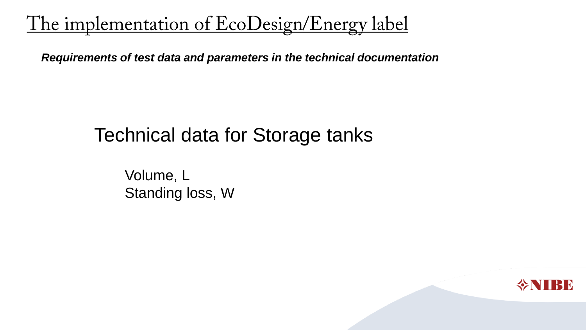*Requirements of test data and parameters in the technical documentation*

### Technical data for Storage tanks

Volume, L Standing loss, W

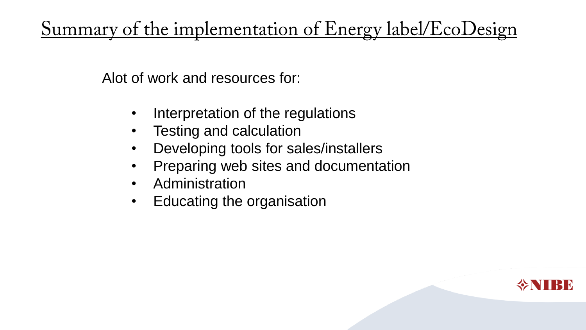<u>Summary of the implementation of Energy label/EcoDesign</u>

Alot of work and resources for:

- Interpretation of the regulations
- Testing and calculation
- Developing tools for sales/installers
- Preparing web sites and documentation
- Administration
- Educating the organisation

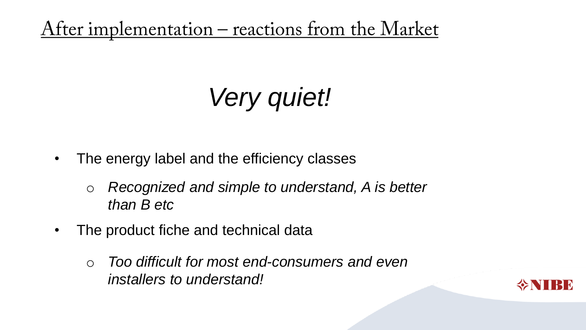<u>After implementation – reactions from the Market</u>

# *Very quiet!*

- The energy label and the efficiency classes
	- o *Recognized and simple to understand, A is better than B etc*
- The product fiche and technical data
	- o *Too difficult for most end-consumers and even installers to understand!*

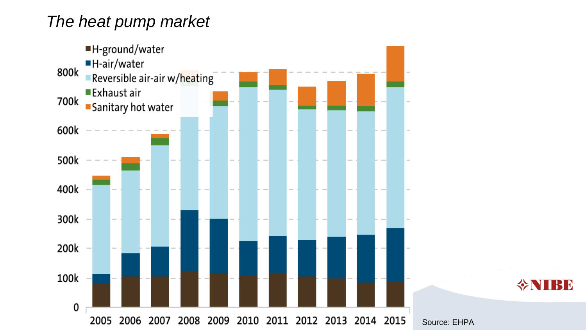### *The heat pump market*



令NIBE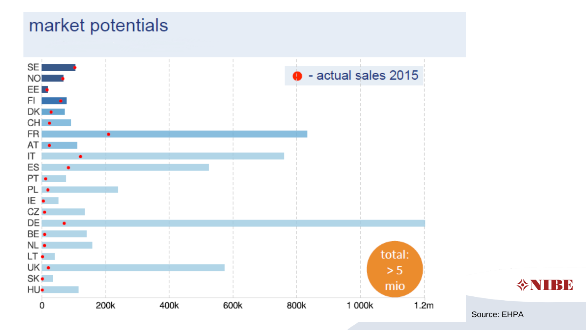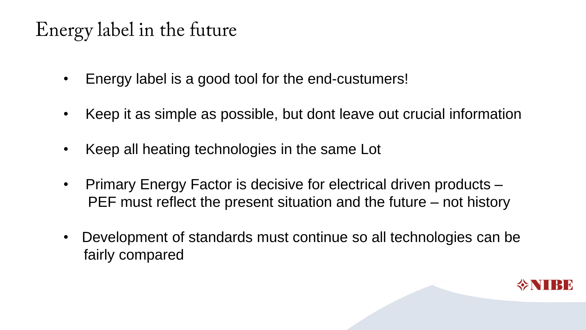## Energy label in the future

- Energy label is a good tool for the end-custumers!
- Keep it as simple as possible, but dont leave out crucial information
- Keep all heating technologies in the same Lot
- Primary Energy Factor is decisive for electrical driven products PEF must reflect the present situation and the future – not history
- Development of standards must continue so all technologies can be fairly compared